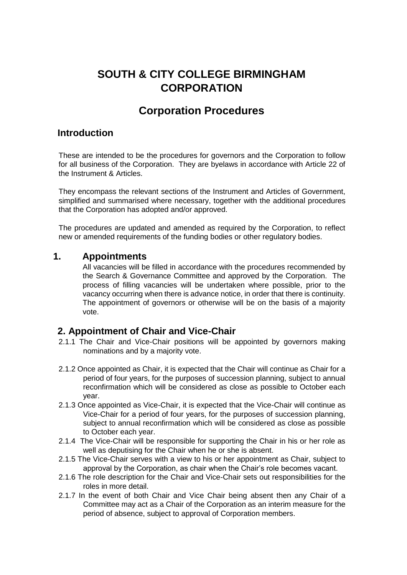# **SOUTH & CITY COLLEGE BIRMINGHAM CORPORATION**

# **Corporation Procedures**

### **Introduction**

These are intended to be the procedures for governors and the Corporation to follow for all business of the Corporation. They are byelaws in accordance with Article 22 of the Instrument & Articles.

They encompass the relevant sections of the Instrument and Articles of Government, simplified and summarised where necessary, together with the additional procedures that the Corporation has adopted and/or approved.

The procedures are updated and amended as required by the Corporation, to reflect new or amended requirements of the funding bodies or other regulatory bodies.

#### **1. Appointments**

All vacancies will be filled in accordance with the procedures recommended by the Search & Governance Committee and approved by the Corporation. The process of filling vacancies will be undertaken where possible, prior to the vacancy occurring when there is advance notice, in order that there is continuity. The appointment of governors or otherwise will be on the basis of a majority vote.

### **2. Appointment of Chair and Vice-Chair**

- 2.1.1 The Chair and Vice-Chair positions will be appointed by governors making nominations and by a majority vote.
- 2.1.2 Once appointed as Chair, it is expected that the Chair will continue as Chair for a period of four years, for the purposes of succession planning, subject to annual reconfirmation which will be considered as close as possible to October each year.
- 2.1.3 Once appointed as Vice-Chair, it is expected that the Vice-Chair will continue as Vice-Chair for a period of four years, for the purposes of succession planning, subject to annual reconfirmation which will be considered as close as possible to October each year.
- 2.1.4 The Vice-Chair will be responsible for supporting the Chair in his or her role as well as deputising for the Chair when he or she is absent.
- 2.1.5 The Vice-Chair serves with a view to his or her appointment as Chair, subject to approval by the Corporation, as chair when the Chair's role becomes vacant.
- 2.1.6 The role description for the Chair and Vice-Chair sets out responsibilities for the roles in more detail.
- 2.1.7 In the event of both Chair and Vice Chair being absent then any Chair of a Committee may act as a Chair of the Corporation as an interim measure for the period of absence, subject to approval of Corporation members.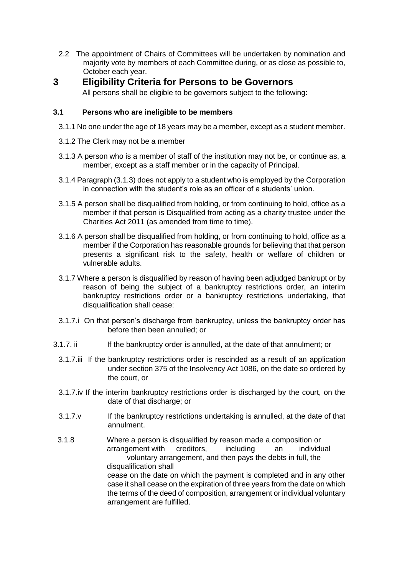- 2.2 The appointment of Chairs of Committees will be undertaken by nomination and majority vote by members of each Committee during, or as close as possible to, October each year.
- **3 Eligibility Criteria for Persons to be Governors**  All persons shall be eligible to be governors subject to the following:

#### **3.1 Persons who are ineligible to be members**

- 3.1.1 No one under the age of 18 years may be a member, except as a student member.
- 3.1.2 The Clerk may not be a member
- 3.1.3 A person who is a member of staff of the institution may not be, or continue as, a member, except as a staff member or in the capacity of Principal.
- 3.1.4 Paragraph (3.1.3) does not apply to a student who is employed by the Corporation in connection with the student's role as an officer of a students' union.
- 3.1.5 A person shall be disqualified from holding, or from continuing to hold, office as a member if that person is Disqualified from acting as a charity trustee under the Charities Act 2011 (as amended from time to time).
- 3.1.6 A person shall be disqualified from holding, or from continuing to hold, office as a member if the Corporation has reasonable grounds for believing that that person presents a significant risk to the safety, health or welfare of children or vulnerable adults.
- 3.1.7 Where a person is disqualified by reason of having been adjudged bankrupt or by reason of being the subject of a bankruptcy restrictions order, an interim bankruptcy restrictions order or a bankruptcy restrictions undertaking, that disqualification shall cease:
- 3.1.7.i On that person's discharge from bankruptcy, unless the bankruptcy order has before then been annulled; or
- 3.1.7. ii If the bankruptcy order is annulled, at the date of that annulment; or
	- 3.1.7.iii If the bankruptcy restrictions order is rescinded as a result of an application under section 375 of the Insolvency Act 1086, on the date so ordered by the court, or
	- 3.1.7.iv If the interim bankruptcy restrictions order is discharged by the court, on the date of that discharge; or
	- 3.1.7.v If the bankruptcy restrictions undertaking is annulled, at the date of that annulment.
	- 3.1.8 Where a person is disqualified by reason made a composition or arrangement with creditors, including an individual voluntary arrangement, and then pays the debts in full, the disqualification shall cease on the date on which the payment is completed and in any other case it shall cease on the expiration of three years from the date on which the terms of the deed of composition, arrangement or individual voluntary arrangement are fulfilled.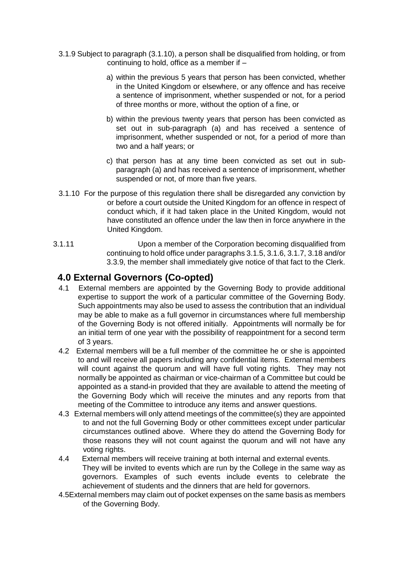- 3.1.9 Subject to paragraph (3.1.10), a person shall be disqualified from holding, or from continuing to hold, office as a member if –
	- a) within the previous 5 years that person has been convicted, whether in the United Kingdom or elsewhere, or any offence and has receive a sentence of imprisonment, whether suspended or not, for a period of three months or more, without the option of a fine, or
	- b) within the previous twenty years that person has been convicted as set out in sub-paragraph (a) and has received a sentence of imprisonment, whether suspended or not, for a period of more than two and a half years; or
	- c) that person has at any time been convicted as set out in subparagraph (a) and has received a sentence of imprisonment, whether suspended or not, of more than five years.
- 3.1.10 For the purpose of this regulation there shall be disregarded any conviction by or before a court outside the United Kingdom for an offence in respect of conduct which, if it had taken place in the United Kingdom, would not have constituted an offence under the law then in force anywhere in the United Kingdom.
- 3.1.11 Upon a member of the Corporation becoming disqualified from continuing to hold office under paragraphs 3.1.5, 3.1.6, 3.1.7, 3.18 and/or 3.3.9, the member shall immediately give notice of that fact to the Clerk.

### **4.0 External Governors (Co-opted)**

- 4.1 External members are appointed by the Governing Body to provide additional expertise to support the work of a particular committee of the Governing Body. Such appointments may also be used to assess the contribution that an individual may be able to make as a full governor in circumstances where full membership of the Governing Body is not offered initially. Appointments will normally be for an initial term of one year with the possibility of reappointment for a second term of 3 years.
- 4.2 External members will be a full member of the committee he or she is appointed to and will receive all papers including any confidential items. External members will count against the quorum and will have full voting rights. They may not normally be appointed as chairman or vice-chairman of a Committee but could be appointed as a stand-in provided that they are available to attend the meeting of the Governing Body which will receive the minutes and any reports from that meeting of the Committee to introduce any items and answer questions.
- 4.3 External members will only attend meetings of the committee(s) they are appointed to and not the full Governing Body or other committees except under particular circumstances outlined above. Where they do attend the Governing Body for those reasons they will not count against the quorum and will not have any voting rights.
- 4.4 External members will receive training at both internal and external events. They will be invited to events which are run by the College in the same way as governors. Examples of such events include events to celebrate the achievement of students and the dinners that are held for governors.
- 4.5External members may claim out of pocket expenses on the same basis as members of the Governing Body.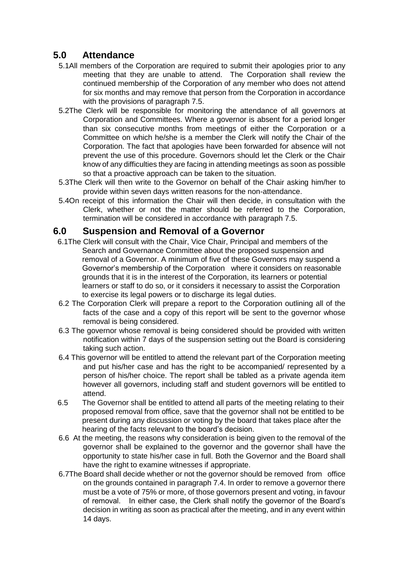## **5.0 Attendance**

- 5.1All members of the Corporation are required to submit their apologies prior to any meeting that they are unable to attend. The Corporation shall review the continued membership of the Corporation of any member who does not attend for six months and may remove that person from the Corporation in accordance with the provisions of paragraph 7.5.
- 5.2The Clerk will be responsible for monitoring the attendance of all governors at Corporation and Committees. Where a governor is absent for a period longer than six consecutive months from meetings of either the Corporation or a Committee on which he/she is a member the Clerk will notify the Chair of the Corporation. The fact that apologies have been forwarded for absence will not prevent the use of this procedure. Governors should let the Clerk or the Chair know of any difficulties they are facing in attending meetings as soon as possible so that a proactive approach can be taken to the situation.
- 5.3The Clerk will then write to the Governor on behalf of the Chair asking him/her to provide within seven days written reasons for the non-attendance.
- 5.4On receipt of this information the Chair will then decide, in consultation with the Clerk, whether or not the matter should be referred to the Corporation, termination will be considered in accordance with paragraph 7.5.

### **6.0 Suspension and Removal of a Governor**

- 6.1The Clerk will consult with the Chair, Vice Chair, Principal and members of the Search and Governance Committee about the proposed suspension and removal of a Governor. A minimum of five of these Governors may suspend a Governor's membership of the Corporation where it considers on reasonable grounds that it is in the interest of the Corporation, its learners or potential learners or staff to do so, or it considers it necessary to assist the Corporation to exercise its legal powers or to discharge its legal duties.
- 6.2 The Corporation Clerk will prepare a report to the Corporation outlining all of the facts of the case and a copy of this report will be sent to the governor whose removal is being considered.
- 6.3 The governor whose removal is being considered should be provided with written notification within 7 days of the suspension setting out the Board is considering taking such action.
- 6.4 This governor will be entitled to attend the relevant part of the Corporation meeting and put his/her case and has the right to be accompanied/ represented by a person of his/her choice. The report shall be tabled as a private agenda item however all governors, including staff and student governors will be entitled to attend.
- 6.5 The Governor shall be entitled to attend all parts of the meeting relating to their proposed removal from office, save that the governor shall not be entitled to be present during any discussion or voting by the board that takes place after the hearing of the facts relevant to the board's decision.
- 6.6 At the meeting, the reasons why consideration is being given to the removal of the governor shall be explained to the governor and the governor shall have the opportunity to state his/her case in full. Both the Governor and the Board shall have the right to examine witnesses if appropriate.
- 6.7The Board shall decide whether or not the governor should be removed from office on the grounds contained in paragraph 7.4. In order to remove a governor there must be a vote of 75% or more, of those governors present and voting, in favour of removal. In either case, the Clerk shall notify the governor of the Board's decision in writing as soon as practical after the meeting, and in any event within 14 days.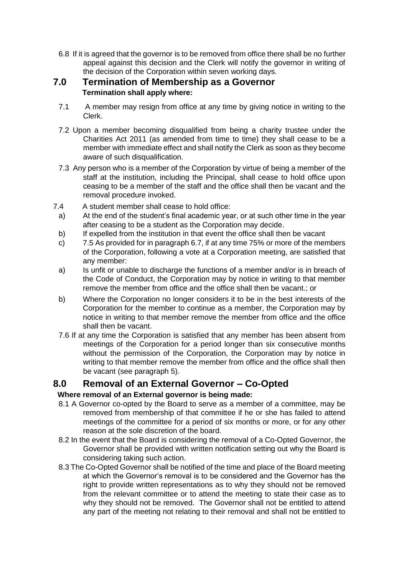6.8 If it is agreed that the governor is to be removed from office there shall be no further appeal against this decision and the Clerk will notify the governor in writing of the decision of the Corporation within seven working days.

#### **7.0 Termination of Membership as a Governor Termination shall apply where:**

- 7.1 A member may resign from office at any time by giving notice in writing to the Clerk.
- 7.2 Upon a member becoming disqualified from being a charity trustee under the Charities Act 2011 (as amended from time to time) they shall cease to be a member with immediate effect and shall notify the Clerk as soon as they become aware of such disqualification.
- 7.3 Any person who is a member of the Corporation by virtue of being a member of the staff at the institution, including the Principal, shall cease to hold office upon ceasing to be a member of the staff and the office shall then be vacant and the removal procedure invoked.
- 7.4 A student member shall cease to hold office:
	- a) At the end of the student's final academic year, or at such other time in the year after ceasing to be a student as the Corporation may decide.
	- b) If expelled from the institution in that event the office shall then be vacant
	- c) 7.5 As provided for in paragraph 6.7, if at any time 75% or more of the members of the Corporation, following a vote at a Corporation meeting, are satisfied that any member:
	- a) Is unfit or unable to discharge the functions of a member and/or is in breach of the Code of Conduct, the Corporation may by notice in writing to that member remove the member from office and the office shall then be vacant.; or
	- b) Where the Corporation no longer considers it to be in the best interests of the Corporation for the member to continue as a member, the Corporation may by notice in writing to that member remove the member from office and the office shall then be vacant.
	- 7.6 If at any time the Corporation is satisfied that any member has been absent from meetings of the Corporation for a period longer than six consecutive months without the permission of the Corporation, the Corporation may by notice in writing to that member remove the member from office and the office shall then be vacant (see paragraph 5).

### **8.0 Removal of an External Governor – Co-Opted**

#### **Where removal of an External governor is being made:**

- 8.1 A Governor co-opted by the Board to serve as a member of a committee, may be removed from membership of that committee if he or she has failed to attend meetings of the committee for a period of six months or more, or for any other reason at the sole discretion of the board.
- 8.2 In the event that the Board is considering the removal of a Co-Opted Governor, the Governor shall be provided with written notification setting out why the Board is considering taking such action.
- 8.3 The Co-Opted Governor shall be notified of the time and place of the Board meeting at which the Governor's removal is to be considered and the Governor has the right to provide written representations as to why they should not be removed from the relevant committee or to attend the meeting to state their case as to why they should not be removed. The Governor shall not be entitled to attend any part of the meeting not relating to their removal and shall not be entitled to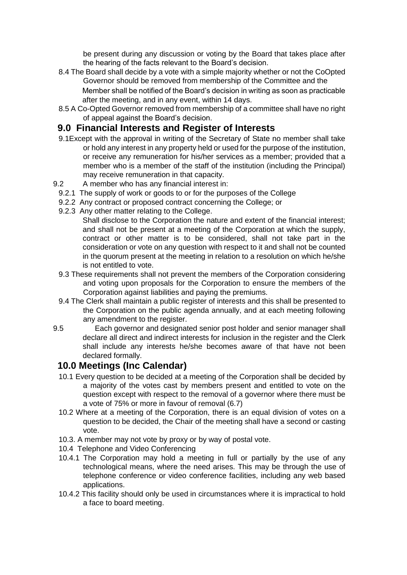be present during any discussion or voting by the Board that takes place after the hearing of the facts relevant to the Board's decision.

- 8.4 The Board shall decide by a vote with a simple majority whether or not the CoOpted Governor should be removed from membership of the Committee and the Member shall be notified of the Board's decision in writing as soon as practicable after the meeting, and in any event, within 14 days.
- 8.5 A Co-Opted Governor removed from membership of a committee shall have no right of appeal against the Board's decision.

### **9.0 Financial Interests and Register of Interests**

- 9.1Except with the approval in writing of the Secretary of State no member shall take or hold any interest in any property held or used for the purpose of the institution, or receive any remuneration for his/her services as a member; provided that a member who is a member of the staff of the institution (including the Principal) may receive remuneration in that capacity.
- 9.2 A member who has any financial interest in:
	- 9.2.1 The supply of work or goods to or for the purposes of the College
	- 9.2.2 Any contract or proposed contract concerning the College; or
	- 9.2.3 Any other matter relating to the College.
		- Shall disclose to the Corporation the nature and extent of the financial interest; and shall not be present at a meeting of the Corporation at which the supply, contract or other matter is to be considered, shall not take part in the consideration or vote on any question with respect to it and shall not be counted in the quorum present at the meeting in relation to a resolution on which he/she is not entitled to vote.
	- 9.3 These requirements shall not prevent the members of the Corporation considering and voting upon proposals for the Corporation to ensure the members of the Corporation against liabilities and paying the premiums.
	- 9.4 The Clerk shall maintain a public register of interests and this shall be presented to the Corporation on the public agenda annually, and at each meeting following any amendment to the register.
- 9.5 Each governor and designated senior post holder and senior manager shall declare all direct and indirect interests for inclusion in the register and the Clerk shall include any interests he/she becomes aware of that have not been declared formally.

### **10.0 Meetings (Inc Calendar)**

- 10.1 Every question to be decided at a meeting of the Corporation shall be decided by a majority of the votes cast by members present and entitled to vote on the question except with respect to the removal of a governor where there must be a vote of 75% or more in favour of removal (6.7)
- 10.2 Where at a meeting of the Corporation, there is an equal division of votes on a question to be decided, the Chair of the meeting shall have a second or casting vote.
- 10.3. A member may not vote by proxy or by way of postal vote.
- 10.4 Telephone and Video Conferencing
- 10.4.1 The Corporation may hold a meeting in full or partially by the use of any technological means, where the need arises. This may be through the use of telephone conference or video conference facilities, including any web based applications.
- 10.4.2 This facility should only be used in circumstances where it is impractical to hold a face to board meeting.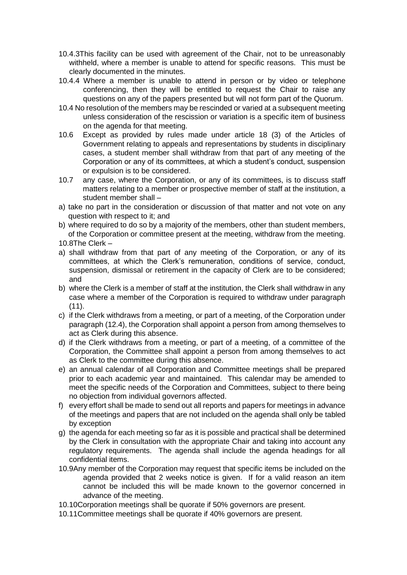- 10.4.3This facility can be used with agreement of the Chair, not to be unreasonably withheld, where a member is unable to attend for specific reasons. This must be clearly documented in the minutes.
- 10.4.4 Where a member is unable to attend in person or by video or telephone conferencing, then they will be entitled to request the Chair to raise any questions on any of the papers presented but will not form part of the Quorum.
- 10.4 No resolution of the members may be rescinded or varied at a subsequent meeting unless consideration of the rescission or variation is a specific item of business on the agenda for that meeting.
- 10.6 Except as provided by rules made under article 18 (3) of the Articles of Government relating to appeals and representations by students in disciplinary cases, a student member shall withdraw from that part of any meeting of the Corporation or any of its committees, at which a student's conduct, suspension or expulsion is to be considered.
- 10.7 any case, where the Corporation, or any of its committees, is to discuss staff matters relating to a member or prospective member of staff at the institution, a student member shall –
- a) take no part in the consideration or discussion of that matter and not vote on any question with respect to it; and
- b) where required to do so by a majority of the members, other than student members, of the Corporation or committee present at the meeting, withdraw from the meeting.
- 10.8The Clerk –
- a) shall withdraw from that part of any meeting of the Corporation, or any of its committees, at which the Clerk's remuneration, conditions of service, conduct, suspension, dismissal or retirement in the capacity of Clerk are to be considered; and
- b) where the Clerk is a member of staff at the institution, the Clerk shall withdraw in any case where a member of the Corporation is required to withdraw under paragraph (11).
- c) if the Clerk withdraws from a meeting, or part of a meeting, of the Corporation under paragraph (12.4), the Corporation shall appoint a person from among themselves to act as Clerk during this absence.
- d) if the Clerk withdraws from a meeting, or part of a meeting, of a committee of the Corporation, the Committee shall appoint a person from among themselves to act as Clerk to the committee during this absence.
- e) an annual calendar of all Corporation and Committee meetings shall be prepared prior to each academic year and maintained. This calendar may be amended to meet the specific needs of the Corporation and Committees, subject to there being no objection from individual governors affected.
- f) every effort shall be made to send out all reports and papers for meetings in advance of the meetings and papers that are not included on the agenda shall only be tabled by exception
- g) the agenda for each meeting so far as it is possible and practical shall be determined by the Clerk in consultation with the appropriate Chair and taking into account any regulatory requirements. The agenda shall include the agenda headings for all confidential items.
- 10.9Any member of the Corporation may request that specific items be included on the agenda provided that 2 weeks notice is given. If for a valid reason an item cannot be included this will be made known to the governor concerned in advance of the meeting.
- 10.10Corporation meetings shall be quorate if 50% governors are present.
- 10.11Committee meetings shall be quorate if 40% governors are present.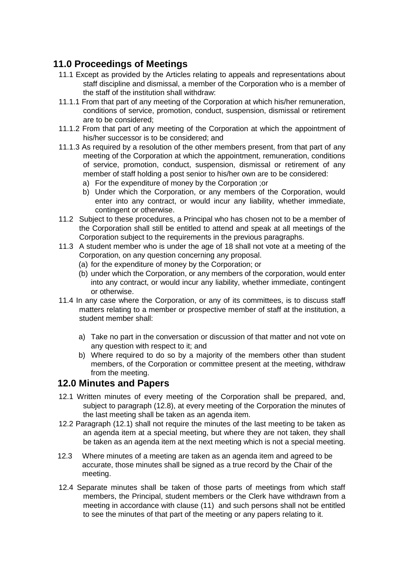# **11.0 Proceedings of Meetings**

- 11.1 Except as provided by the Articles relating to appeals and representations about staff discipline and dismissal, a member of the Corporation who is a member of the staff of the institution shall withdraw:
- 11.1.1 From that part of any meeting of the Corporation at which his/her remuneration, conditions of service, promotion, conduct, suspension, dismissal or retirement are to be considered;
- 11.1.2 From that part of any meeting of the Corporation at which the appointment of his/her successor is to be considered; and
- 11.1.3 As required by a resolution of the other members present, from that part of any meeting of the Corporation at which the appointment, remuneration, conditions of service, promotion, conduct, suspension, dismissal or retirement of any member of staff holding a post senior to his/her own are to be considered:
	- a) For the expenditure of money by the Corporation ;or
	- b) Under which the Corporation, or any members of the Corporation, would enter into any contract, or would incur any liability, whether immediate, contingent or otherwise.
- 11.2 Subject to these procedures, a Principal who has chosen not to be a member of the Corporation shall still be entitled to attend and speak at all meetings of the Corporation subject to the requirements in the previous paragraphs.
- 11.3 A student member who is under the age of 18 shall not vote at a meeting of the Corporation, on any question concerning any proposal.
	- (a) for the expenditure of money by the Corporation; or
	- (b) under which the Corporation, or any members of the corporation, would enter into any contract, or would incur any liability, whether immediate, contingent or otherwise.
- 11.4 In any case where the Corporation, or any of its committees, is to discuss staff matters relating to a member or prospective member of staff at the institution, a student member shall:
	- a) Take no part in the conversation or discussion of that matter and not vote on any question with respect to it; and
	- b) Where required to do so by a majority of the members other than student members, of the Corporation or committee present at the meeting, withdraw from the meeting.

#### **12.0 Minutes and Papers**

- 12.1 Written minutes of every meeting of the Corporation shall be prepared, and, subject to paragraph (12.8), at every meeting of the Corporation the minutes of the last meeting shall be taken as an agenda item.
- 12.2 Paragraph (12.1) shall not require the minutes of the last meeting to be taken as an agenda item at a special meeting, but where they are not taken, they shall be taken as an agenda item at the next meeting which is not a special meeting.
- 12.3 Where minutes of a meeting are taken as an agenda item and agreed to be accurate, those minutes shall be signed as a true record by the Chair of the meeting.
- 12.4 Separate minutes shall be taken of those parts of meetings from which staff members, the Principal, student members or the Clerk have withdrawn from a meeting in accordance with clause (11) and such persons shall not be entitled to see the minutes of that part of the meeting or any papers relating to it.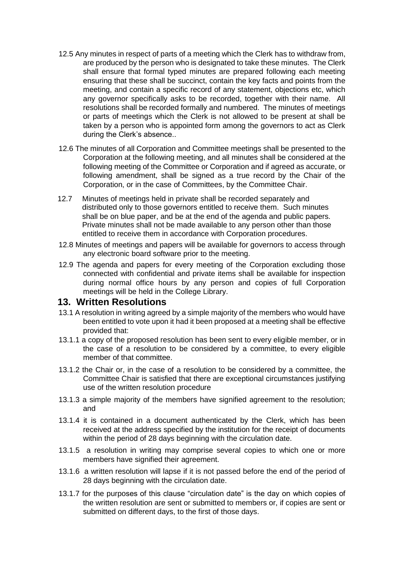- 12.5 Any minutes in respect of parts of a meeting which the Clerk has to withdraw from, are produced by the person who is designated to take these minutes. The Clerk shall ensure that formal typed minutes are prepared following each meeting ensuring that these shall be succinct, contain the key facts and points from the meeting, and contain a specific record of any statement, objections etc, which any governor specifically asks to be recorded, together with their name. All resolutions shall be recorded formally and numbered. The minutes of meetings or parts of meetings which the Clerk is not allowed to be present at shall be taken by a person who is appointed form among the governors to act as Clerk during the Clerk's absence..
- 12.6 The minutes of all Corporation and Committee meetings shall be presented to the Corporation at the following meeting, and all minutes shall be considered at the following meeting of the Committee or Corporation and if agreed as accurate, or following amendment, shall be signed as a true record by the Chair of the Corporation, or in the case of Committees, by the Committee Chair.
- 12.7 Minutes of meetings held in private shall be recorded separately and distributed only to those governors entitled to receive them. Such minutes shall be on blue paper, and be at the end of the agenda and public papers. Private minutes shall not be made available to any person other than those entitled to receive them in accordance with Corporation procedures.
- 12.8 Minutes of meetings and papers will be available for governors to access through any electronic board software prior to the meeting.
- 12.9 The agenda and papers for every meeting of the Corporation excluding those connected with confidential and private items shall be available for inspection during normal office hours by any person and copies of full Corporation meetings will be held in the College Library.

#### **13. Written Resolutions**

- 13.1 A resolution in writing agreed by a simple majority of the members who would have been entitled to vote upon it had it been proposed at a meeting shall be effective provided that:
- 13.1.1 a copy of the proposed resolution has been sent to every eligible member, or in the case of a resolution to be considered by a committee, to every eligible member of that committee.
- 13.1.2 the Chair or, in the case of a resolution to be considered by a committee, the Committee Chair is satisfied that there are exceptional circumstances justifying use of the written resolution procedure
- 13.1.3 a simple majority of the members have signified agreement to the resolution; and
- 13.1.4 it is contained in a document authenticated by the Clerk, which has been received at the address specified by the institution for the receipt of documents within the period of 28 days beginning with the circulation date.
- 13.1.5 a resolution in writing may comprise several copies to which one or more members have signified their agreement.
- 13.1.6 a written resolution will lapse if it is not passed before the end of the period of 28 days beginning with the circulation date.
- 13.1.7 for the purposes of this clause "circulation date" is the day on which copies of the written resolution are sent or submitted to members or, if copies are sent or submitted on different days, to the first of those days.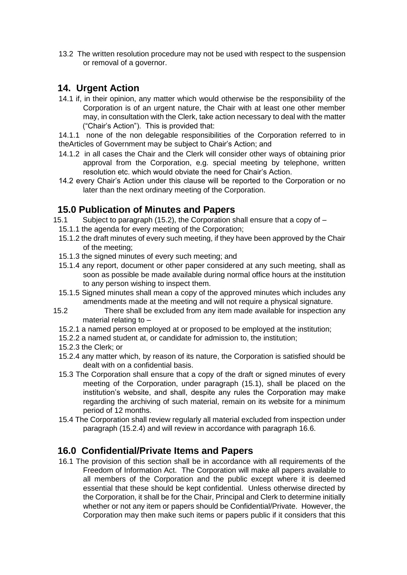13.2 The written resolution procedure may not be used with respect to the suspension or removal of a governor.

### **14. Urgent Action**

14.1 if, in their opinion, any matter which would otherwise be the responsibility of the Corporation is of an urgent nature, the Chair with at least one other member may, in consultation with the Clerk, take action necessary to deal with the matter ("Chair's Action"). This is provided that:

14.1.1 none of the non delegable responsibilities of the Corporation referred to in theArticles of Government may be subject to Chair's Action; and

- 14.1.2 in all cases the Chair and the Clerk will consider other ways of obtaining prior approval from the Corporation, e.g. special meeting by telephone, written resolution etc. which would obviate the need for Chair's Action.
- 14.2 every Chair's Action under this clause will be reported to the Corporation or no later than the next ordinary meeting of the Corporation.

# **15.0 Publication of Minutes and Papers**

- 15.1 Subject to paragraph (15.2), the Corporation shall ensure that a copy of
	- 15.1.1 the agenda for every meeting of the Corporation;
	- 15.1.2 the draft minutes of every such meeting, if they have been approved by the Chair of the meeting;
	- 15.1.3 the signed minutes of every such meeting; and
	- 15.1.4 any report, document or other paper considered at any such meeting, shall as soon as possible be made available during normal office hours at the institution to any person wishing to inspect them.
	- 15.1.5 Signed minutes shall mean a copy of the approved minutes which includes any amendments made at the meeting and will not require a physical signature.
- 15.2 There shall be excluded from any item made available for inspection any material relating to –
	- 15.2.1 a named person employed at or proposed to be employed at the institution;
	- 15.2.2 a named student at, or candidate for admission to, the institution;
	- 15.2.3 the Clerk; or
	- 15.2.4 any matter which, by reason of its nature, the Corporation is satisfied should be dealt with on a confidential basis.
	- 15.3 The Corporation shall ensure that a copy of the draft or signed minutes of every meeting of the Corporation, under paragraph (15.1), shall be placed on the institution's website, and shall, despite any rules the Corporation may make regarding the archiving of such material, remain on its website for a minimum period of 12 months.
	- 15.4 The Corporation shall review regularly all material excluded from inspection under paragraph (15.2.4) and will review in accordance with paragraph 16.6.

### **16.0 Confidential/Private Items and Papers**

16.1 The provision of this section shall be in accordance with all requirements of the Freedom of Information Act. The Corporation will make all papers available to all members of the Corporation and the public except where it is deemed essential that these should be kept confidential. Unless otherwise directed by the Corporation, it shall be for the Chair, Principal and Clerk to determine initially whether or not any item or papers should be Confidential/Private. However, the Corporation may then make such items or papers public if it considers that this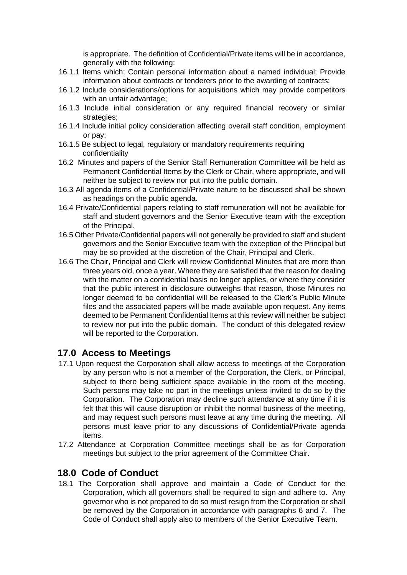is appropriate. The definition of Confidential/Private items will be in accordance, generally with the following:

- 16.1.1 Items which; Contain personal information about a named individual; Provide information about contracts or tenderers prior to the awarding of contracts;
- 16.1.2 Include considerations/options for acquisitions which may provide competitors with an unfair advantage;
- 16.1.3 Include initial consideration or any required financial recovery or similar strategies;
- 16.1.4 Include initial policy consideration affecting overall staff condition, employment or pay;
- 16.1.5 Be subject to legal, regulatory or mandatory requirements requiring confidentiality
- 16.2 Minutes and papers of the Senior Staff Remuneration Committee will be held as Permanent Confidential Items by the Clerk or Chair, where appropriate, and will neither be subject to review nor put into the public domain.
- 16.3 All agenda items of a Confidential/Private nature to be discussed shall be shown as headings on the public agenda.
- 16.4 Private/Confidential papers relating to staff remuneration will not be available for staff and student governors and the Senior Executive team with the exception of the Principal.
- 16.5 Other Private/Confidential papers will not generally be provided to staff and student governors and the Senior Executive team with the exception of the Principal but may be so provided at the discretion of the Chair, Principal and Clerk.
- 16.6 The Chair, Principal and Clerk will review Confidential Minutes that are more than three years old, once a year. Where they are satisfied that the reason for dealing with the matter on a confidential basis no longer applies, or where they consider that the public interest in disclosure outweighs that reason, those Minutes no longer deemed to be confidential will be released to the Clerk's Public Minute files and the associated papers will be made available upon request. Any items deemed to be Permanent Confidential Items at this review will neither be subject to review nor put into the public domain. The conduct of this delegated review will be reported to the Corporation.

#### **17.0 Access to Meetings**

- 17.1 Upon request the Corporation shall allow access to meetings of the Corporation by any person who is not a member of the Corporation, the Clerk, or Principal, subject to there being sufficient space available in the room of the meeting. Such persons may take no part in the meetings unless invited to do so by the Corporation. The Corporation may decline such attendance at any time if it is felt that this will cause disruption or inhibit the normal business of the meeting, and may request such persons must leave at any time during the meeting. All persons must leave prior to any discussions of Confidential/Private agenda items.
- 17.2 Attendance at Corporation Committee meetings shall be as for Corporation meetings but subject to the prior agreement of the Committee Chair.

#### **18.0 Code of Conduct**

18.1 The Corporation shall approve and maintain a Code of Conduct for the Corporation, which all governors shall be required to sign and adhere to. Any governor who is not prepared to do so must resign from the Corporation or shall be removed by the Corporation in accordance with paragraphs 6 and 7. The Code of Conduct shall apply also to members of the Senior Executive Team.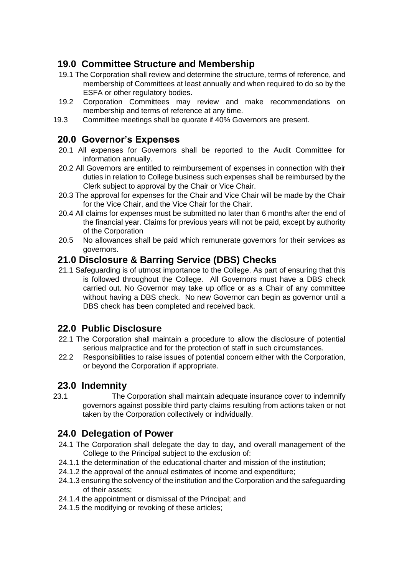# **19.0 Committee Structure and Membership**

- 19.1 The Corporation shall review and determine the structure, terms of reference, and membership of Committees at least annually and when required to do so by the ESFA or other regulatory bodies.
- 19.2 Corporation Committees may review and make recommendations on membership and terms of reference at any time.
- 19.3 Committee meetings shall be quorate if 40% Governors are present.

# **20.0 Governor's Expenses**

- 20.1 All expenses for Governors shall be reported to the Audit Committee for information annually.
- 20.2 All Governors are entitled to reimbursement of expenses in connection with their duties in relation to College business such expenses shall be reimbursed by the Clerk subject to approval by the Chair or Vice Chair.
- 20.3 The approval for expenses for the Chair and Vice Chair will be made by the Chair for the Vice Chair, and the Vice Chair for the Chair.
- 20.4 All claims for expenses must be submitted no later than 6 months after the end of the financial year. Claims for previous years will not be paid, except by authority of the Corporation
- 20.5 No allowances shall be paid which remunerate governors for their services as governors.

### **21.0 Disclosure & Barring Service (DBS) Checks**

21.1 Safeguarding is of utmost importance to the College. As part of ensuring that this is followed throughout the College. All Governors must have a DBS check carried out. No Governor may take up office or as a Chair of any committee without having a DBS check. No new Governor can begin as governor until a DBS check has been completed and received back.

# **22.0 Public Disclosure**

- 22.1 The Corporation shall maintain a procedure to allow the disclosure of potential serious malpractice and for the protection of staff in such circumstances.
- 22.2 Responsibilities to raise issues of potential concern either with the Corporation, or beyond the Corporation if appropriate.

# **23.0 Indemnity**

23.1 The Corporation shall maintain adequate insurance cover to indemnify governors against possible third party claims resulting from actions taken or not taken by the Corporation collectively or individually.

# **24.0 Delegation of Power**

- 24.1 The Corporation shall delegate the day to day, and overall management of the College to the Principal subject to the exclusion of:
- 24.1.1 the determination of the educational charter and mission of the institution;
- 24.1.2 the approval of the annual estimates of income and expenditure;
- 24.1.3 ensuring the solvency of the institution and the Corporation and the safeguarding of their assets;
- 24.1.4 the appointment or dismissal of the Principal; and
- 24.1.5 the modifying or revoking of these articles;